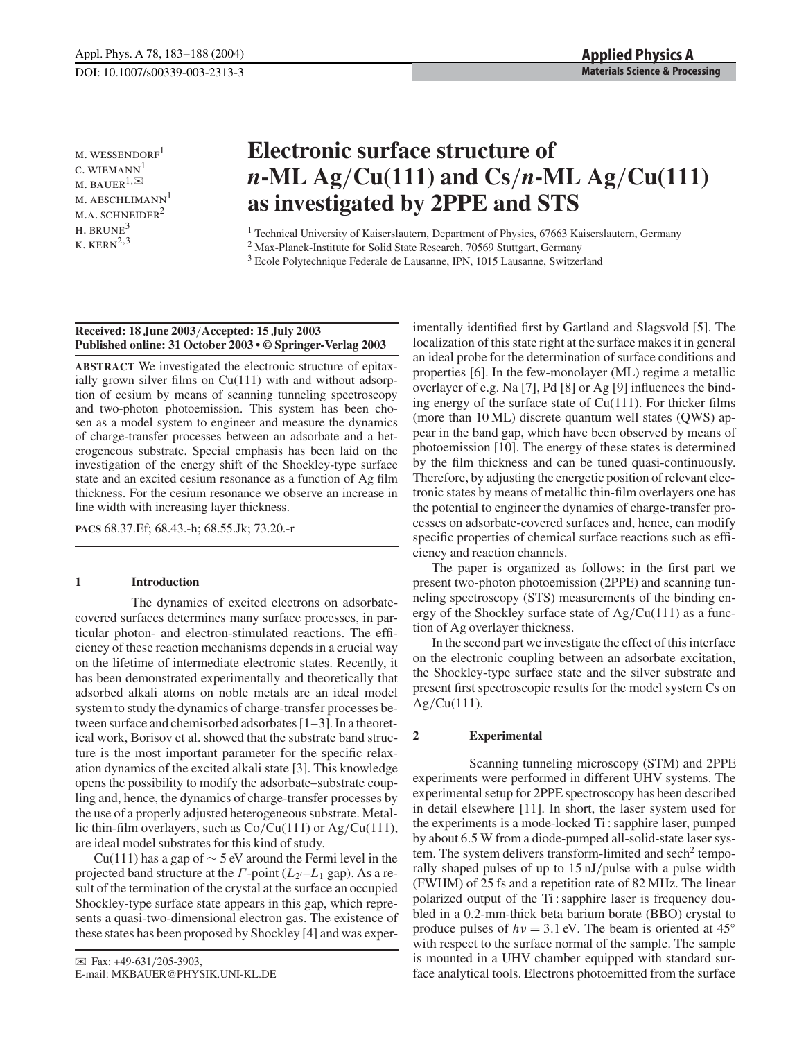$M.$  WESSENDORF<sup>1</sup>  $c.$  WIEMANN $<sup>1</sup>$ </sup>  $M.$  BAUER $^{1,\simeq}$ m. aeschlimann<sup>1</sup>  $M.A.$  SCHNEIDER<sup>2</sup>  $H.$  BRUNE<sup>3</sup>  $K.$  KERN<sup>2,3</sup>

# **Electronic surface structure of** *n***-ML Ag**/**Cu(111) and Cs**/*n***-ML Ag**/**Cu(111) as investigated by 2PPE and STS**

<sup>1</sup> Technical University of Kaiserslautern, Department of Physics, 67663 Kaiserslautern, Germany

<sup>2</sup> Max-Planck-Institute for Solid State Research, 70569 Stuttgart, Germany

<sup>3</sup> Ecole Polytechnique Federale de Lausanne, IPN, 1015 Lausanne, Switzerland

## **Received: 18 June 2003**/**Accepted: 15 July 2003 Published online: 31 October 2003 • © Springer-Verlag 2003**

**ABSTRACT** We investigated the electronic structure of epitaxially grown silver films on Cu(111) with and without adsorption of cesium by means of scanning tunneling spectroscopy and two-photon photoemission. This system has been chosen as a model system to engineer and measure the dynamics of charge-transfer processes between an adsorbate and a heterogeneous substrate. Special emphasis has been laid on the investigation of the energy shift of the Shockley-type surface state and an excited cesium resonance as a function of Ag film thickness. For the cesium resonance we observe an increase in line width with increasing layer thickness.

**PACS** 68.37.Ef; 68.43.-h; 68.55.Jk; 73.20.-r

# **1 Introduction**

The dynamics of excited electrons on adsorbatecovered surfaces determines many surface processes, in particular photon- and electron-stimulated reactions. The efficiency of these reaction mechanisms depends in a crucial way on the lifetime of intermediate electronic states. Recently, it has been demonstrated experimentally and theoretically that adsorbed alkali atoms on noble metals are an ideal model system to study the dynamics of charge-transfer processes between surface and chemisorbed adsorbates [1–3]. In a theoretical work, Borisov et al. showed that the substrate band structure is the most important parameter for the specific relaxation dynamics of the excited alkali state [3]. This knowledge opens the possibility to modify the adsorbate–substrate coupling and, hence, the dynamics of charge-transfer processes by the use of a properly adjusted heterogeneous substrate. Metallic thin-film overlayers, such as  $Co/Cu(111)$  or  $Ag/Cu(111)$ , are ideal model substrates for this kind of study.

Cu(111) has a gap of  $\sim$  5 eV around the Fermi level in the projected band structure at the Γ -point (*L*2-–*L*<sup>1</sup> gap). As a result of the termination of the crystal at the surface an occupied Shockley-type surface state appears in this gap, which represents a quasi-two-dimensional electron gas. The existence of these states has been proposed by Shockley [4] and was experimentally identified first by Gartland and Slagsvold [5]. The localization of this state right at the surface makes it in general an ideal probe for the determination of surface conditions and properties [6]. In the few-monolayer (ML) regime a metallic overlayer of e.g. Na [7], Pd [8] or Ag [9] influences the binding energy of the surface state of  $Cu(111)$ . For thicker films (more than 10 ML) discrete quantum well states (QWS) appear in the band gap, which have been observed by means of photoemission [10]. The energy of these states is determined by the film thickness and can be tuned quasi-continuously. Therefore, by adjusting the energetic position of relevant electronic states by means of metallic thin-film overlayers one has the potential to engineer the dynamics of charge-transfer processes on adsorbate-covered surfaces and, hence, can modify specific properties of chemical surface reactions such as efficiency and reaction channels.

The paper is organized as follows: in the first part we present two-photon photoemission (2PPE) and scanning tunneling spectroscopy (STS) measurements of the binding energy of the Shockley surface state of  $Ag/Cu(111)$  as a function of Ag overlayer thickness.

In the second part we investigate the effect of this interface on the electronic coupling between an adsorbate excitation, the Shockley-type surface state and the silver substrate and present first spectroscopic results for the model system Cs on  $Ag/Cu(111)$ .

## **2 Experimental**

Scanning tunneling microscopy (STM) and 2PPE experiments were performed in different UHV systems. The experimental setup for 2PPE spectroscopy has been described in detail elsewhere [11]. In short, the laser system used for the experiments is a mode-locked Ti : sapphire laser, pumped by about 6.5 W from a diode-pumped all-solid-state laser system. The system delivers transform-limited and  $\mathrm{sech}^2$  temporally shaped pulses of up to 15 nJ/pulse with a pulse width (FWHM) of 25 fs and a repetition rate of 82 MHz. The linear polarized output of the Ti : sapphire laser is frequency doubled in a 0.2-mm-thick beta barium borate (BBO) crystal to produce pulses of  $hv = 3.1$  eV. The beam is oriented at 45<sup>°</sup> with respect to the surface normal of the sample. The sample is mounted in a UHV chamber equipped with standard surface analytical tools. Electrons photoemitted from the surface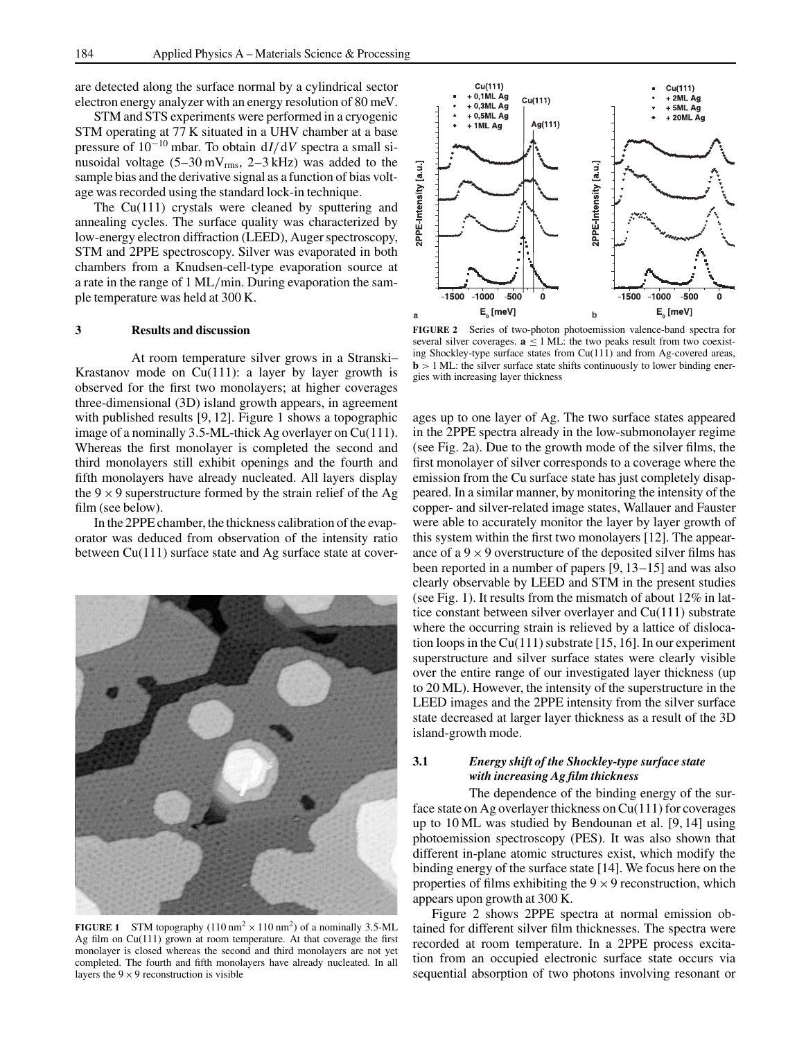are detected along the surface normal by a cylindrical sector electron energy analyzer with an energy resolution of 80 meV.

STM and STS experiments were performed in a cryogenic STM operating at 77 K situated in a UHV chamber at a base pressure of 10−<sup>10</sup> mbar. To obtain d*I*/d*V* spectra a small sinusoidal voltage  $(5-30 \text{ mV}_{\text{rms}})$ , 2-3 kHz) was added to the sample bias and the derivative signal as a function of bias voltage was recorded using the standard lock-in technique.

The Cu(111) crystals were cleaned by sputtering and annealing cycles. The surface quality was characterized by low-energy electron diffraction (LEED), Auger spectroscopy, STM and 2PPE spectroscopy. Silver was evaporated in both chambers from a Knudsen-cell-type evaporation source at a rate in the range of 1 ML/min. During evaporation the sample temperature was held at 300 K.

#### **3 Results and discussion**

At room temperature silver grows in a Stranski– Krastanov mode on  $Cu(111)$ : a layer by layer growth is observed for the first two monolayers; at higher coverages three-dimensional (3D) island growth appears, in agreement with published results [9, 12]. Figure 1 shows a topographic image of a nominally 3.5-ML-thick Ag overlayer on Cu(111). Whereas the first monolayer is completed the second and third monolayers still exhibit openings and the fourth and fifth monolayers have already nucleated. All layers display the  $9 \times 9$  superstructure formed by the strain relief of the Ag film (see below).

In the 2PPE chamber, the thickness calibration of the evaporator was deduced from observation of the intensity ratio between Cu(111) surface state and Ag surface state at cover-



**FIGURE 1** STM topography  $(110 \text{ nm}^2 \times 110 \text{ nm}^2)$  of a nominally 3.5-ML Ag film on Cu(111) grown at room temperature. At that coverage the first monolayer is closed whereas the second and third monolayers are not yet completed. The fourth and fifth monolayers have already nucleated. In all layers the  $9 \times 9$  reconstruction is visible



**FIGURE 2** Series of two-photon photoemission valence-band spectra for several silver coverages.  $\mathbf{a} \leq 1$  ML: the two peaks result from two coexisting Shockley-type surface states from Cu(111) and from Ag-covered areas,  **ML: the silver surface state shifts continuously to lower binding ener**gies with increasing layer thickness

ages up to one layer of Ag. The two surface states appeared in the 2PPE spectra already in the low-submonolayer regime (see Fig. 2a). Due to the growth mode of the silver films, the first monolayer of silver corresponds to a coverage where the emission from the Cu surface state has just completely disappeared. In a similar manner, by monitoring the intensity of the copper- and silver-related image states, Wallauer and Fauster were able to accurately monitor the layer by layer growth of this system within the first two monolayers [12]. The appearance of a  $9 \times 9$  overstructure of the deposited silver films has been reported in a number of papers [9, 13–15] and was also clearly observable by LEED and STM in the present studies (see Fig. 1). It results from the mismatch of about 12% in lattice constant between silver overlayer and Cu(111) substrate where the occurring strain is relieved by a lattice of dislocation loops in the Cu(111) substrate [15, 16]. In our experiment superstructure and silver surface states were clearly visible over the entire range of our investigated layer thickness (up to 20 ML). However, the intensity of the superstructure in the LEED images and the 2PPE intensity from the silver surface state decreased at larger layer thickness as a result of the 3D island-growth mode.

## **3.1** *Energy shift of the Shockley-type surface state with increasing Ag film thickness*

The dependence of the binding energy of the surface state on Ag overlayer thickness on Cu(111) for coverages up to 10 ML was studied by Bendounan et al. [9, 14] using photoemission spectroscopy (PES). It was also shown that different in-plane atomic structures exist, which modify the binding energy of the surface state [14]. We focus here on the properties of films exhibiting the  $9 \times 9$  reconstruction, which appears upon growth at 300 K.

Figure 2 shows 2PPE spectra at normal emission obtained for different silver film thicknesses. The spectra were recorded at room temperature. In a 2PPE process excitation from an occupied electronic surface state occurs via sequential absorption of two photons involving resonant or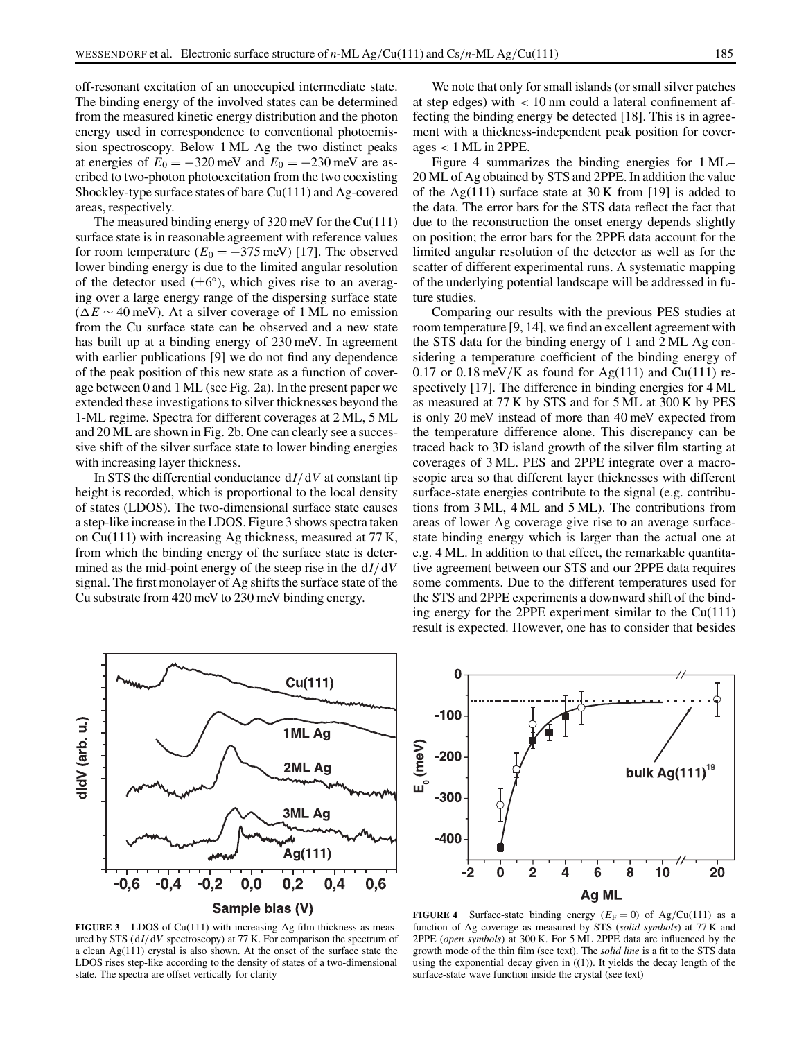off-resonant excitation of an unoccupied intermediate state. The binding energy of the involved states can be determined from the measured kinetic energy distribution and the photon energy used in correspondence to conventional photoemission spectroscopy. Below 1 ML Ag the two distinct peaks at energies of  $E_0 = -320$  meV and  $E_0 = -230$  meV are ascribed to two-photon photoexcitation from the two coexisting Shockley-type surface states of bare Cu(111) and Ag-covered areas, respectively.

The measured binding energy of 320 meV for the Cu(111) surface state is in reasonable agreement with reference values for room temperature  $(E_0 = -375 \text{ meV})$  [17]. The observed lower binding energy is due to the limited angular resolution of the detector used  $(\pm 6^{\circ})$ , which gives rise to an averaging over a large energy range of the dispersing surface state  $(\Delta E \sim 40 \,\text{meV})$ . At a silver coverage of 1 ML no emission from the Cu surface state can be observed and a new state has built up at a binding energy of 230 meV. In agreement with earlier publications [9] we do not find any dependence of the peak position of this new state as a function of coverage between 0 and 1 ML (see Fig. 2a). In the present paper we extended these investigations to silver thicknesses beyond the 1-ML regime. Spectra for different coverages at 2 ML, 5 ML and 20 ML are shown in Fig. 2b. One can clearly see a successive shift of the silver surface state to lower binding energies with increasing layer thickness.

In STS the differential conductance d*I*/d*V* at constant tip height is recorded, which is proportional to the local density of states (LDOS). The two-dimensional surface state causes a step-like increase in the LDOS. Figure 3 shows spectra taken on Cu(111) with increasing Ag thickness, measured at 77 K, from which the binding energy of the surface state is determined as the mid-point energy of the steep rise in the d*I*/d*V* signal. The first monolayer of Ag shifts the surface state of the Cu substrate from 420 meV to 230 meV binding energy.

We note that only for small islands (or small silver patches at step edges) with < 10 nm could a lateral confinement affecting the binding energy be detected [18]. This is in agreement with a thickness-independent peak position for coverages < 1 ML in 2PPE.

Figure 4 summarizes the binding energies for 1 ML– 20 ML of Ag obtained by STS and 2PPE. In addition the value of the Ag(111) surface state at  $30 \text{ K}$  from [19] is added to the data. The error bars for the STS data reflect the fact that due to the reconstruction the onset energy depends slightly on position; the error bars for the 2PPE data account for the limited angular resolution of the detector as well as for the scatter of different experimental runs. A systematic mapping of the underlying potential landscape will be addressed in future studies.

Comparing our results with the previous PES studies at room temperature [9, 14], we find an excellent agreement with the STS data for the binding energy of 1 and 2 ML Ag considering a temperature coefficient of the binding energy of 0.17 or 0.18 meV/K as found for Ag(111) and Cu(111) respectively [17]. The difference in binding energies for 4 ML as measured at 77 K by STS and for 5 ML at 300 K by PES is only 20 meV instead of more than 40 meV expected from the temperature difference alone. This discrepancy can be traced back to 3D island growth of the silver film starting at coverages of 3 ML. PES and 2PPE integrate over a macroscopic area so that different layer thicknesses with different surface-state energies contribute to the signal (e.g. contributions from 3 ML, 4 ML and 5 ML). The contributions from areas of lower Ag coverage give rise to an average surfacestate binding energy which is larger than the actual one at e.g. 4 ML. In addition to that effect, the remarkable quantitative agreement between our STS and our 2PPE data requires some comments. Due to the different temperatures used for the STS and 2PPE experiments a downward shift of the binding energy for the 2PPE experiment similar to the  $Cu(111)$ result is expected. However, one has to consider that besides



**FIGURE 3** LDOS of Cu(111) with increasing Ag film thickness as measured by STS (d*I*/d*V* spectroscopy) at 77 K. For comparison the spectrum of a clean Ag(111) crystal is also shown. At the onset of the surface state the LDOS rises step-like according to the density of states of a two-dimensional state. The spectra are offset vertically for clarity



**FIGURE 4** Surface-state binding energy  $(E_F = 0)$  of Ag/Cu(111) as a function of Ag coverage as measured by STS (*solid symbols*) at 77 K and 2PPE (*open symbols*) at 300 K. For 5 ML 2PPE data are influenced by the growth mode of the thin film (see text). The *solid line* is a fit to the STS data using the exponential decay given in  $((1))$ . It yields the decay length of the surface-state wave function inside the crystal (see text)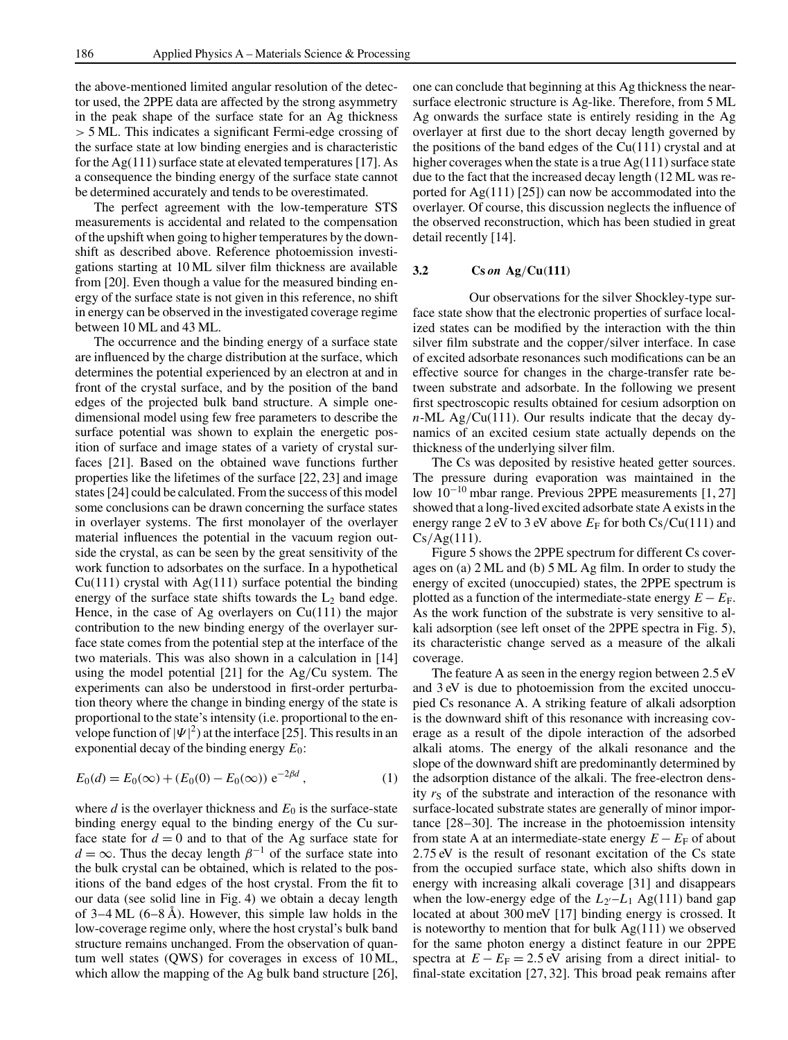the above-mentioned limited angular resolution of the detector used, the 2PPE data are affected by the strong asymmetry in the peak shape of the surface state for an Ag thickness > 5 ML. This indicates a significant Fermi-edge crossing of the surface state at low binding energies and is characteristic for the Ag(111) surface state at elevated temperatures [17]. As a consequence the binding energy of the surface state cannot be determined accurately and tends to be overestimated.

The perfect agreement with the low-temperature STS measurements is accidental and related to the compensation of the upshift when going to higher temperatures by the downshift as described above. Reference photoemission investigations starting at 10 ML silver film thickness are available from [20]. Even though a value for the measured binding energy of the surface state is not given in this reference, no shift in energy can be observed in the investigated coverage regime between 10 ML and 43 ML.

The occurrence and the binding energy of a surface state are influenced by the charge distribution at the surface, which determines the potential experienced by an electron at and in front of the crystal surface, and by the position of the band edges of the projected bulk band structure. A simple onedimensional model using few free parameters to describe the surface potential was shown to explain the energetic position of surface and image states of a variety of crystal surfaces [21]. Based on the obtained wave functions further properties like the lifetimes of the surface [22, 23] and image states [24] could be calculated. From the success of this model some conclusions can be drawn concerning the surface states in overlayer systems. The first monolayer of the overlayer material influences the potential in the vacuum region outside the crystal, as can be seen by the great sensitivity of the work function to adsorbates on the surface. In a hypothetical  $Cu(111)$  crystal with Ag $(111)$  surface potential the binding energy of the surface state shifts towards the  $L_2$  band edge. Hence, in the case of Ag overlayers on Cu(111) the major contribution to the new binding energy of the overlayer surface state comes from the potential step at the interface of the two materials. This was also shown in a calculation in [14] using the model potential [21] for the Ag/Cu system. The experiments can also be understood in first-order perturbation theory where the change in binding energy of the state is proportional to the state's intensity (i.e. proportional to the envelope function of  $|\Psi|^2$ ) at the interface [25]. This results in an exponential decay of the binding energy *E*0:

$$
E_0(d) = E_0(\infty) + (E_0(0) - E_0(\infty)) e^{-2\beta d}, \qquad (1)
$$

where  $d$  is the overlayer thickness and  $E_0$  is the surface-state binding energy equal to the binding energy of the Cu surface state for  $d = 0$  and to that of the Ag surface state for  $d = \infty$ . Thus the decay length  $\beta^{-1}$  of the surface state into the bulk crystal can be obtained, which is related to the positions of the band edges of the host crystal. From the fit to our data (see solid line in Fig. 4) we obtain a decay length of  $3-4$  ML  $(6-8 \text{ Å})$ . However, this simple law holds in the low-coverage regime only, where the host crystal's bulk band structure remains unchanged. From the observation of quantum well states (QWS) for coverages in excess of 10 ML, which allow the mapping of the Ag bulk band structure [26], one can conclude that beginning at this Ag thickness the nearsurface electronic structure is Ag-like. Therefore, from 5 ML Ag onwards the surface state is entirely residing in the Ag overlayer at first due to the short decay length governed by the positions of the band edges of the  $Cu(111)$  crystal and at higher coverages when the state is a true  $Ag(111)$  surface state due to the fact that the increased decay length (12 ML was reported for Ag(111) [25]) can now be accommodated into the overlayer. Of course, this discussion neglects the influence of the observed reconstruction, which has been studied in great detail recently [14].

### **3.2 Cs** *on* **Ag**/**Cu**(**111**)

Our observations for the silver Shockley-type surface state show that the electronic properties of surface localized states can be modified by the interaction with the thin silver film substrate and the copper/silver interface. In case of excited adsorbate resonances such modifications can be an effective source for changes in the charge-transfer rate between substrate and adsorbate. In the following we present first spectroscopic results obtained for cesium adsorption on *n*-ML Ag/Cu(111). Our results indicate that the decay dynamics of an excited cesium state actually depends on the thickness of the underlying silver film.

The Cs was deposited by resistive heated getter sources. The pressure during evaporation was maintained in the low 10−<sup>10</sup> mbar range. Previous 2PPE measurements [1, 27] showed that a long-lived excited adsorbate state A exists in the energy range 2 eV to 3 eV above  $E_F$  for both  $Cs/Cu(111)$  and  $Cs/Ag(111)$ .

Figure 5 shows the 2PPE spectrum for different Cs coverages on (a) 2 ML and (b) 5 ML Ag film. In order to study the energy of excited (unoccupied) states, the 2PPE spectrum is plotted as a function of the intermediate-state energy  $E - E_F$ . As the work function of the substrate is very sensitive to alkali adsorption (see left onset of the 2PPE spectra in Fig. 5), its characteristic change served as a measure of the alkali coverage.

The feature A as seen in the energy region between 2.5 eV and 3 eV is due to photoemission from the excited unoccupied Cs resonance A. A striking feature of alkali adsorption is the downward shift of this resonance with increasing coverage as a result of the dipole interaction of the adsorbed alkali atoms. The energy of the alkali resonance and the slope of the downward shift are predominantly determined by the adsorption distance of the alkali. The free-electron density  $r<sub>S</sub>$  of the substrate and interaction of the resonance with surface-located substrate states are generally of minor importance [28–30]. The increase in the photoemission intensity from state A at an intermediate-state energy  $E - E_F$  of about 2.75 eV is the result of resonant excitation of the Cs state from the occupied surface state, which also shifts down in energy with increasing alkali coverage [31] and disappears when the low-energy edge of the  $L_{2}L_{1}$  Ag(111) band gap located at about 300 meV [17] binding energy is crossed. It is noteworthy to mention that for bulk  $Ag(111)$  we observed for the same photon energy a distinct feature in our 2PPE spectra at  $E - E_F = 2.5$  eV arising from a direct initial- to final-state excitation [27, 32]. This broad peak remains after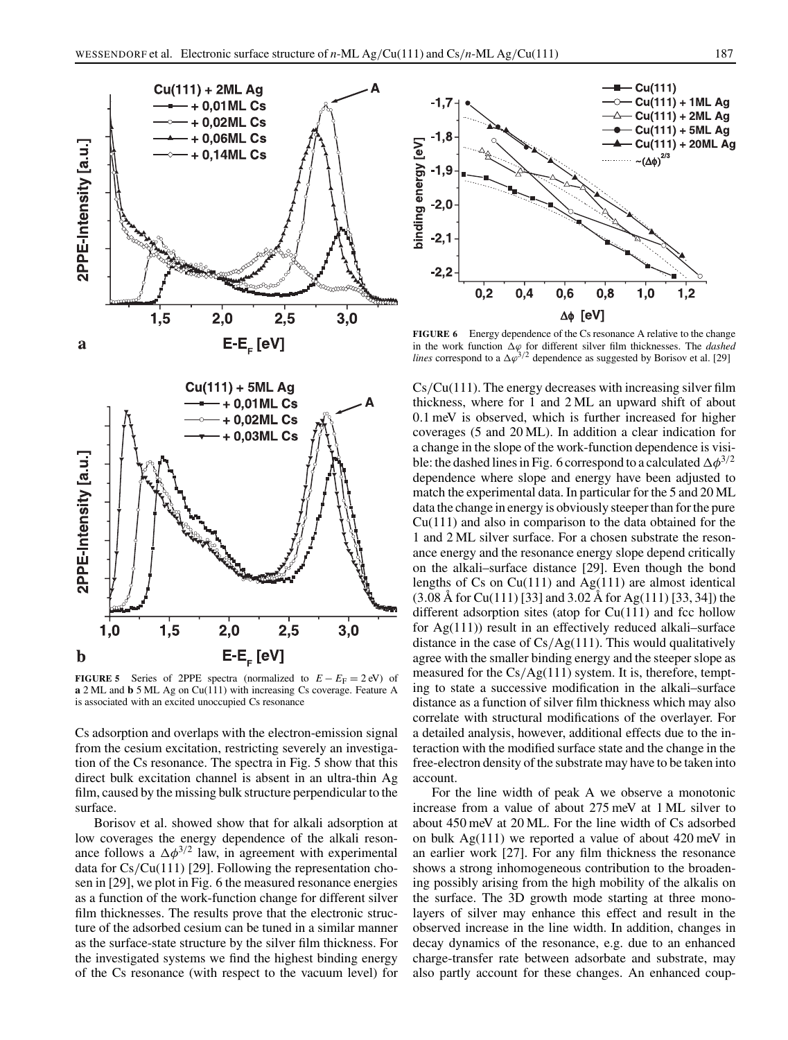

**FIGURE 5** Series of 2PPE spectra (normalized to  $E - E_F = 2$  eV) of **a** 2 ML and **b** 5 ML Ag on Cu(111) with increasing Cs coverage. Feature A is associated with an excited unoccupied Cs resonance

Cs adsorption and overlaps with the electron-emission signal from the cesium excitation, restricting severely an investigation of the Cs resonance. The spectra in Fig. 5 show that this direct bulk excitation channel is absent in an ultra-thin Ag film, caused by the missing bulk structure perpendicular to the surface.

Borisov et al. showed show that for alkali adsorption at low coverages the energy dependence of the alkali resonance follows a  $\Delta \phi^{3/2}$  law, in agreement with experimental data for Cs/Cu(111) [29]. Following the representation chosen in [29], we plot in Fig. 6 the measured resonance energies as a function of the work-function change for different silver film thicknesses. The results prove that the electronic structure of the adsorbed cesium can be tuned in a similar manner as the surface-state structure by the silver film thickness. For the investigated systems we find the highest binding energy of the Cs resonance (with respect to the vacuum level) for



**FIGURE 6** Energy dependence of the Cs resonance A relative to the change in the work function ∆ϕ for different silver film thicknesses. The *dashed lines* correspond to a  $\Delta \varphi^{3/2}$  dependence as suggested by Borisov et al. [29]

Cs/Cu(111). The energy decreases with increasing silver film thickness, where for 1 and 2 ML an upward shift of about 0.1 meV is observed, which is further increased for higher coverages (5 and 20 ML). In addition a clear indication for a change in the slope of the work-function dependence is visible: the dashed lines in Fig. 6 correspond to a calculated  $\Delta \phi^{3/2}$ dependence where slope and energy have been adjusted to match the experimental data. In particular for the 5 and 20 ML data the change in energy is obviously steeper than for the pure Cu(111) and also in comparison to the data obtained for the 1 and 2 ML silver surface. For a chosen substrate the resonance energy and the resonance energy slope depend critically on the alkali–surface distance [29]. Even though the bond lengths of Cs on  $Cu(111)$  and  $Ag(111)$  are almost identical (3.08 Å for Cu(111) [33] and 3.02 Å for Ag(111) [33, 34]) the different adsorption sites (atop for  $Cu(111)$ ) and fcc hollow for Ag(111)) result in an effectively reduced alkali–surface distance in the case of  $Cs/Ag(111)$ . This would qualitatively agree with the smaller binding energy and the steeper slope as measured for the Cs/Ag(111) system. It is, therefore, tempting to state a successive modification in the alkali–surface distance as a function of silver film thickness which may also correlate with structural modifications of the overlayer. For a detailed analysis, however, additional effects due to the interaction with the modified surface state and the change in the free-electron density of the substrate may have to be taken into account.

For the line width of peak A we observe a monotonic increase from a value of about 275 meV at 1 ML silver to about 450 meV at 20 ML. For the line width of Cs adsorbed on bulk Ag(111) we reported a value of about 420 meV in an earlier work [27]. For any film thickness the resonance shows a strong inhomogeneous contribution to the broadening possibly arising from the high mobility of the alkalis on the surface. The 3D growth mode starting at three monolayers of silver may enhance this effect and result in the observed increase in the line width. In addition, changes in decay dynamics of the resonance, e.g. due to an enhanced charge-transfer rate between adsorbate and substrate, may also partly account for these changes. An enhanced coup